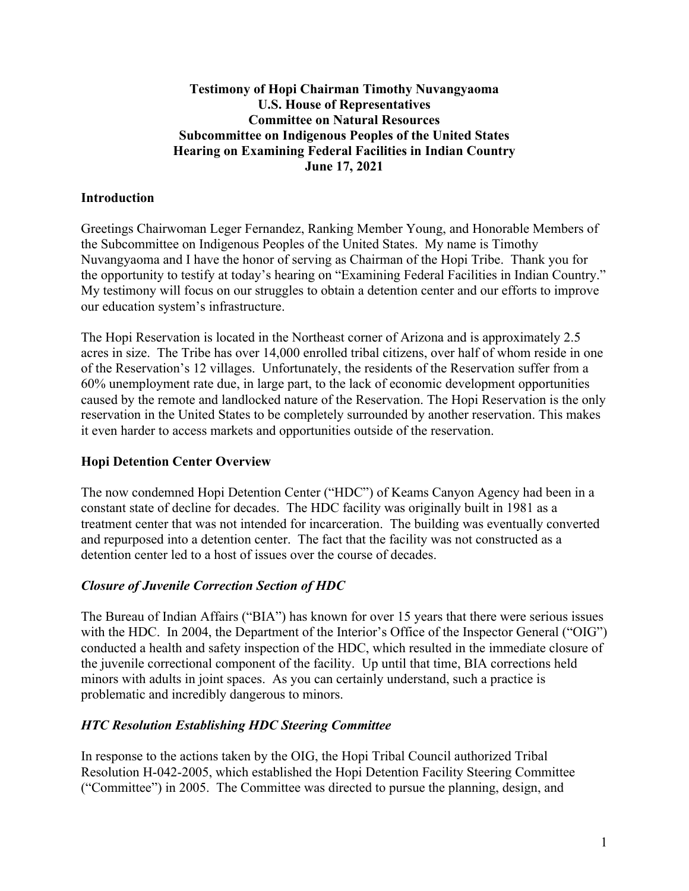## **Testimony of Hopi Chairman Timothy Nuvangyaoma U.S. House of Representatives Committee on Natural Resources Subcommittee on Indigenous Peoples of the United States Hearing on Examining Federal Facilities in Indian Country June 17, 2021**

## **Introduction**

Greetings Chairwoman Leger Fernandez, Ranking Member Young, and Honorable Members of the Subcommittee on Indigenous Peoples of the United States. My name is Timothy Nuvangyaoma and I have the honor of serving as Chairman of the Hopi Tribe. Thank you for the opportunity to testify at today's hearing on "Examining Federal Facilities in Indian Country." My testimony will focus on our struggles to obtain a detention center and our efforts to improve our education system's infrastructure.

The Hopi Reservation is located in the Northeast corner of Arizona and is approximately 2.5 acres in size. The Tribe has over 14,000 enrolled tribal citizens, over half of whom reside in one of the Reservation's 12 villages. Unfortunately, the residents of the Reservation suffer from a 60% unemployment rate due, in large part, to the lack of economic development opportunities caused by the remote and landlocked nature of the Reservation. The Hopi Reservation is the only reservation in the United States to be completely surrounded by another reservation. This makes it even harder to access markets and opportunities outside of the reservation.

#### **Hopi Detention Center Overview**

The now condemned Hopi Detention Center ("HDC") of Keams Canyon Agency had been in a constant state of decline for decades. The HDC facility was originally built in 1981 as a treatment center that was not intended for incarceration. The building was eventually converted and repurposed into a detention center. The fact that the facility was not constructed as a detention center led to a host of issues over the course of decades.

## *Closure of Juvenile Correction Section of HDC*

The Bureau of Indian Affairs ("BIA") has known for over 15 years that there were serious issues with the HDC. In 2004, the Department of the Interior's Office of the Inspector General ("OIG") conducted a health and safety inspection of the HDC, which resulted in the immediate closure of the juvenile correctional component of the facility. Up until that time, BIA corrections held minors with adults in joint spaces. As you can certainly understand, such a practice is problematic and incredibly dangerous to minors.

#### *HTC Resolution Establishing HDC Steering Committee*

In response to the actions taken by the OIG, the Hopi Tribal Council authorized Tribal Resolution H-042-2005, which established the Hopi Detention Facility Steering Committee ("Committee") in 2005. The Committee was directed to pursue the planning, design, and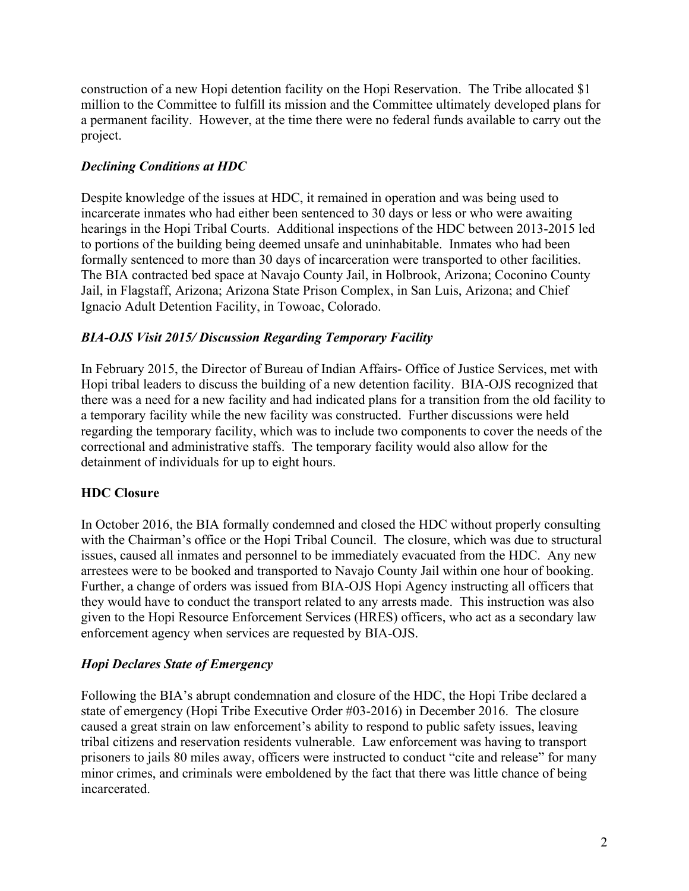construction of a new Hopi detention facility on the Hopi Reservation. The Tribe allocated \$1 million to the Committee to fulfill its mission and the Committee ultimately developed plans for a permanent facility. However, at the time there were no federal funds available to carry out the project.

# *Declining Conditions at HDC*

Despite knowledge of the issues at HDC, it remained in operation and was being used to incarcerate inmates who had either been sentenced to 30 days or less or who were awaiting hearings in the Hopi Tribal Courts. Additional inspections of the HDC between 2013-2015 led to portions of the building being deemed unsafe and uninhabitable. Inmates who had been formally sentenced to more than 30 days of incarceration were transported to other facilities. The BIA contracted bed space at Navajo County Jail, in Holbrook, Arizona; Coconino County Jail, in Flagstaff, Arizona; Arizona State Prison Complex, in San Luis, Arizona; and Chief Ignacio Adult Detention Facility, in Towoac, Colorado.

# *BIA-OJS Visit 2015/ Discussion Regarding Temporary Facility*

In February 2015, the Director of Bureau of Indian Affairs- Office of Justice Services, met with Hopi tribal leaders to discuss the building of a new detention facility. BIA-OJS recognized that there was a need for a new facility and had indicated plans for a transition from the old facility to a temporary facility while the new facility was constructed. Further discussions were held regarding the temporary facility, which was to include two components to cover the needs of the correctional and administrative staffs. The temporary facility would also allow for the detainment of individuals for up to eight hours.

## **HDC Closure**

In October 2016, the BIA formally condemned and closed the HDC without properly consulting with the Chairman's office or the Hopi Tribal Council. The closure, which was due to structural issues, caused all inmates and personnel to be immediately evacuated from the HDC. Any new arrestees were to be booked and transported to Navajo County Jail within one hour of booking. Further, a change of orders was issued from BIA-OJS Hopi Agency instructing all officers that they would have to conduct the transport related to any arrests made. This instruction was also given to the Hopi Resource Enforcement Services (HRES) officers, who act as a secondary law enforcement agency when services are requested by BIA-OJS.

# *Hopi Declares State of Emergency*

Following the BIA's abrupt condemnation and closure of the HDC, the Hopi Tribe declared a state of emergency (Hopi Tribe Executive Order #03-2016) in December 2016. The closure caused a great strain on law enforcement's ability to respond to public safety issues, leaving tribal citizens and reservation residents vulnerable. Law enforcement was having to transport prisoners to jails 80 miles away, officers were instructed to conduct "cite and release" for many minor crimes, and criminals were emboldened by the fact that there was little chance of being incarcerated.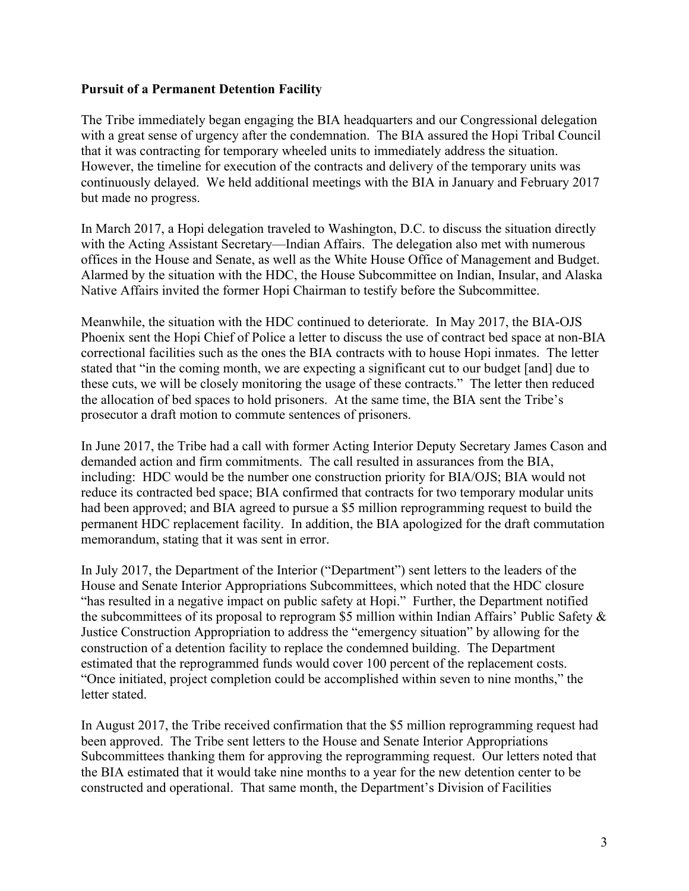#### **Pursuit of a Permanent Detention Facility**

The Tribe immediately began engaging the BIA headquarters and our Congressional delegation with a great sense of urgency after the condemnation. The BIA assured the Hopi Tribal Council that it was contracting for temporary wheeled units to immediately address the situation. However, the timeline for execution of the contracts and delivery of the temporary units was continuously delayed. We held additional meetings with the BIA in January and February 2017 but made no progress.

In March 2017, a Hopi delegation traveled to Washington, D.C. to discuss the situation directly with the Acting Assistant Secretary—Indian Affairs. The delegation also met with numerous offices in the House and Senate, as well as the White House Office of Management and Budget. Alarmed by the situation with the HDC, the House Subcommittee on Indian, Insular, and Alaska Native Affairs invited the former Hopi Chairman to testify before the Subcommittee.

Meanwhile, the situation with the HDC continued to deteriorate. In May 2017, the BIA-OJS Phoenix sent the Hopi Chief of Police a letter to discuss the use of contract bed space at non-BIA correctional facilities such as the ones the BIA contracts with to house Hopi inmates. The letter stated that "in the coming month, we are expecting a significant cut to our budget [and] due to these cuts, we will be closely monitoring the usage of these contracts." The letter then reduced the allocation of bed spaces to hold prisoners. At the same time, the BIA sent the Tribe's prosecutor a draft motion to commute sentences of prisoners.

In June 2017, the Tribe had a call with former Acting Interior Deputy Secretary James Cason and demanded action and firm commitments. The call resulted in assurances from the BIA, including: HDC would be the number one construction priority for BIA/OJS; BIA would not reduce its contracted bed space; BIA confirmed that contracts for two temporary modular units had been approved; and BIA agreed to pursue a \$5 million reprogramming request to build the permanent HDC replacement facility. In addition, the BIA apologized for the draft commutation memorandum, stating that it was sent in error.

In July 2017, the Department of the Interior ("Department") sent letters to the leaders of the House and Senate Interior Appropriations Subcommittees, which noted that the HDC closure "has resulted in a negative impact on public safety at Hopi." Further, the Department notified the subcommittees of its proposal to reprogram \$5 million within Indian Affairs' Public Safety & Justice Construction Appropriation to address the "emergency situation" by allowing for the construction of a detention facility to replace the condemned building. The Department estimated that the reprogrammed funds would cover 100 percent of the replacement costs. "Once initiated, project completion could be accomplished within seven to nine months," the letter stated.

In August 2017, the Tribe received confirmation that the \$5 million reprogramming request had been approved. The Tribe sent letters to the House and Senate Interior Appropriations Subcommittees thanking them for approving the reprogramming request. Our letters noted that the BIA estimated that it would take nine months to a year for the new detention center to be constructed and operational. That same month, the Department's Division of Facilities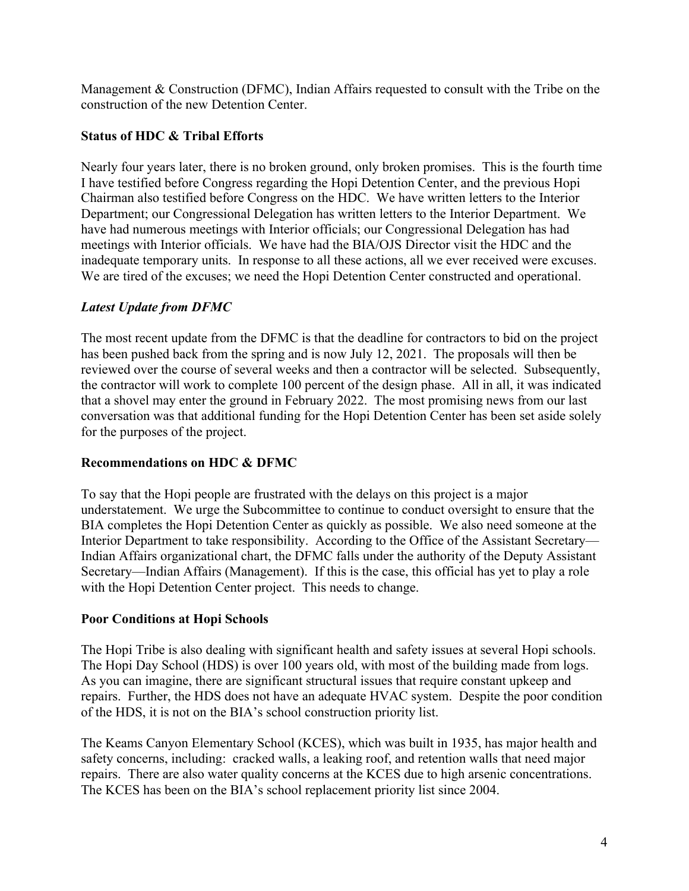Management & Construction (DFMC), Indian Affairs requested to consult with the Tribe on the construction of the new Detention Center.

## **Status of HDC & Tribal Efforts**

Nearly four years later, there is no broken ground, only broken promises. This is the fourth time I have testified before Congress regarding the Hopi Detention Center, and the previous Hopi Chairman also testified before Congress on the HDC. We have written letters to the Interior Department; our Congressional Delegation has written letters to the Interior Department. We have had numerous meetings with Interior officials; our Congressional Delegation has had meetings with Interior officials. We have had the BIA/OJS Director visit the HDC and the inadequate temporary units. In response to all these actions, all we ever received were excuses. We are tired of the excuses; we need the Hopi Detention Center constructed and operational.

## *Latest Update from DFMC*

The most recent update from the DFMC is that the deadline for contractors to bid on the project has been pushed back from the spring and is now July 12, 2021. The proposals will then be reviewed over the course of several weeks and then a contractor will be selected. Subsequently, the contractor will work to complete 100 percent of the design phase. All in all, it was indicated that a shovel may enter the ground in February 2022. The most promising news from our last conversation was that additional funding for the Hopi Detention Center has been set aside solely for the purposes of the project.

## **Recommendations on HDC & DFMC**

To say that the Hopi people are frustrated with the delays on this project is a major understatement. We urge the Subcommittee to continue to conduct oversight to ensure that the BIA completes the Hopi Detention Center as quickly as possible. We also need someone at the Interior Department to take responsibility. According to the Office of the Assistant Secretary— Indian Affairs organizational chart, the DFMC falls under the authority of the Deputy Assistant Secretary—Indian Affairs (Management). If this is the case, this official has yet to play a role with the Hopi Detention Center project. This needs to change.

## **Poor Conditions at Hopi Schools**

The Hopi Tribe is also dealing with significant health and safety issues at several Hopi schools. The Hopi Day School (HDS) is over 100 years old, with most of the building made from logs. As you can imagine, there are significant structural issues that require constant upkeep and repairs. Further, the HDS does not have an adequate HVAC system. Despite the poor condition of the HDS, it is not on the BIA's school construction priority list.

The Keams Canyon Elementary School (KCES), which was built in 1935, has major health and safety concerns, including: cracked walls, a leaking roof, and retention walls that need major repairs. There are also water quality concerns at the KCES due to high arsenic concentrations. The KCES has been on the BIA's school replacement priority list since 2004.